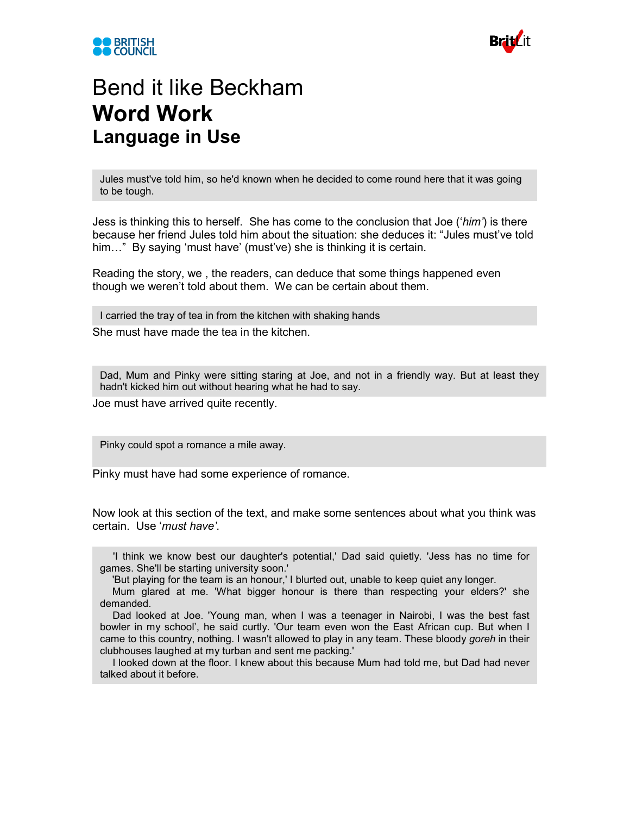



## Bend it like Beckham **Word Work Language in Use**

Jules must've told him, so he'd known when he decided to come round here that it was going to be tough.

Jess is thinking this to herself. She has come to the conclusion that Joe ('*him'*) is there because her friend Jules told him about the situation: she deduces it: "Jules must've told him…" By saying 'must have' (must've) she is thinking it is certain.

Reading the story, we , the readers, can deduce that some things happened even though we weren't told about them. We can be certain about them.

She must have made the tea in the kitchen. I carried the tray of tea in from the kitchen with shaking hands

Dad, Mum and Pinky were sitting staring at Joe, and not in a friendly way. But at least they hadn't kicked him out without hearing what he had to say.

Joe must have arrived quite recently.

Pinky could spot a romance a mile away.

Pinky must have had some experience of romance.

Now look at this section of the text, and make some sentences about what you think was certain. Use '*must have'*.

'I think we know best our daughter's potential,' Dad said quietly. 'Jess has no time for games. She'll be starting university soon.'

'But playing for the team is an honour,' I blurted out, unable to keep quiet any longer.

Mum glared at me. 'What bigger honour is there than respecting your elders?' she demanded.

Dad looked at Joe. 'Young man, when I was a teenager in Nairobi, I was the best fast bowler in my school', he said curtly. 'Our team even won the East African cup. But when I came to this country, nothing. I wasn't allowed to play in any team. These bloody *goreh* in their clubhouses laughed at my turban and sent me packing.'

I looked down at the floor. I knew about this because Mum had told me, but Dad had never talked about it before.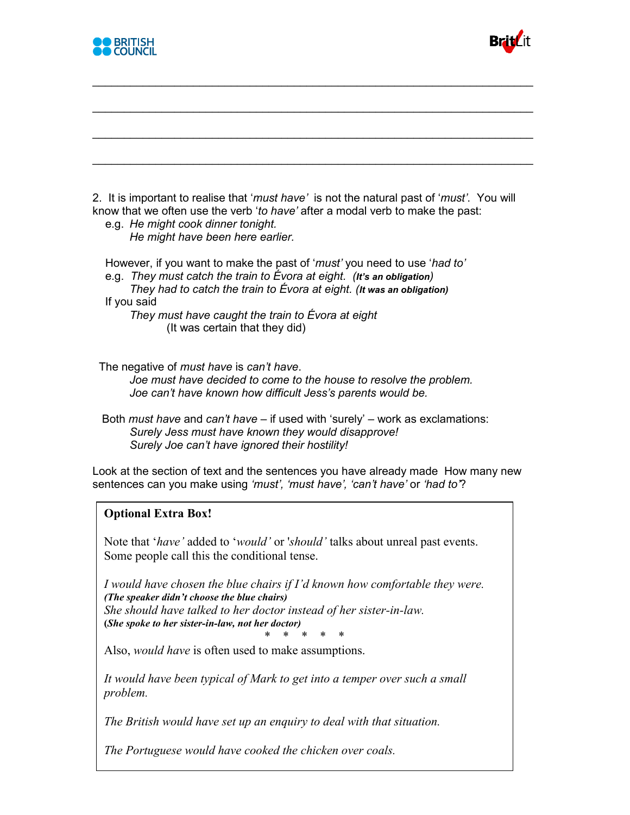



2. It is important to realise that '*must have'* is not the natural past of '*must'*. You will know that we often use the verb '*to have'* after a modal verb to make the past:

\_\_\_\_\_\_\_\_\_\_\_\_\_\_\_\_\_\_\_\_\_\_\_\_\_\_\_\_\_\_\_\_\_\_\_\_\_\_\_\_\_\_\_\_\_\_\_\_\_\_\_\_\_\_\_\_\_\_\_\_\_\_\_\_\_\_\_\_\_\_

\_\_\_\_\_\_\_\_\_\_\_\_\_\_\_\_\_\_\_\_\_\_\_\_\_\_\_\_\_\_\_\_\_\_\_\_\_\_\_\_\_\_\_\_\_\_\_\_\_\_\_\_\_\_\_\_\_\_\_\_\_\_\_\_\_\_\_\_\_\_

\_\_\_\_\_\_\_\_\_\_\_\_\_\_\_\_\_\_\_\_\_\_\_\_\_\_\_\_\_\_\_\_\_\_\_\_\_\_\_\_\_\_\_\_\_\_\_\_\_\_\_\_\_\_\_\_\_\_\_\_\_\_\_\_\_\_\_\_\_\_

\_\_\_\_\_\_\_\_\_\_\_\_\_\_\_\_\_\_\_\_\_\_\_\_\_\_\_\_\_\_\_\_\_\_\_\_\_\_\_\_\_\_\_\_\_\_\_\_\_\_\_\_\_\_\_\_\_\_\_\_\_\_\_\_\_\_\_\_\_\_

 e.g. *He might cook dinner tonight. He might have been here earlier.*

 However, if you want to make the past of '*must'* you need to use '*had to'* e.g. *They must catch the train to Évora at eight. (It's an obligation)*

*They had to catch the train to Évora at eight. (It was an obligation)* If you said

*They must have caught the train to Évora at eight* (It was certain that they did)

The negative of *must have* is *can't have*.

*Joe must have decided to come to the house to resolve the problem. Joe can't have known how difficult Jess's parents would be.*

 Both *must have* and *can't have* – if used with 'surely' – work as exclamations: *Surely Jess must have known they would disapprove! Surely Joe can't have ignored their hostility!*

Look at the section of text and the sentences you have already made How many new sentences can you make using *'must', 'must have', 'can't have'* or *'had to'*?

## **Optional Extra Box!**

Note that '*have'* added to '*would'* or '*should'* talks about unreal past events. Some people call this the conditional tense.

*I would have chosen the blue chairs if I'd known how comfortable they were. (The speaker didn't choose the blue chairs) She should have talked to her doctor instead of her sister-in-law.* **(***She spoke to her sister-in-law, not her doctor)*

\* \* \* \* \*

Also, *would have* is often used to make assumptions.

*It would have been typical of Mark to get into a temper over such a small problem.*

*The British would have set up an enquiry to deal with that situation.*

*The Portuguese would have cooked the chicken over coals.*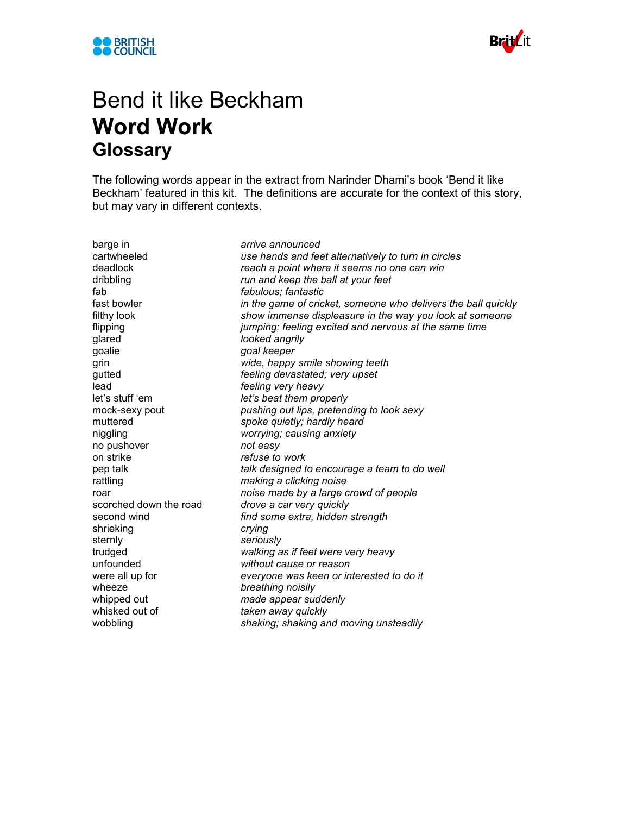



## Bend it like Beckham **Word Work Glossary**

The following words appear in the extract from Narinder Dhami's book 'Bend it like Beckham' featured in this kit. The definitions are accurate for the context of this story, but may vary in different contexts.

barge in *arrive announced* cartwheeled *use hands and feet alternatively to turn in circles* reach a point where it seems no one can win dribbling *run and keep the ball at your feet* fab *fabulous; fantastic* fast bowler *in the game of cricket, someone who delivers the ball quickly* filthy look *show immense displeasure in the way you look at someone* flipping *jumping; feeling excited and nervous at the same time* glared *looked angrily* goalie *goal keeper* grin *wide, happy smile showing teeth* gutted *feeling devastated; very upset* lead *feeling very heavy* let's stuff 'em *let's beat them properly* mock-sexy pout *pushing out lips, pretending to look sexy* muttered *spoke quietly; hardly heard* niggling *worrying; causing anxiety* no pushover *not easy* on strike *refuse to work* pep talk *talk designed to encourage a team to do well* rattling *making a clicking noise* roar *noise made by a large crowd of people* scorched down the road *drove a car very quickly* second wind *find some extra, hidden strength* shrieking *crying* sternly *seriously* trudged *walking as if feet were very heavy* unfounded *without cause or reason* were all up for *everyone was keen or interested to do it* wheeze *breathing noisily* whipped out *made appear suddenly* whisked out of *taken away quickly* wobbling *shaking; shaking and moving unsteadily*